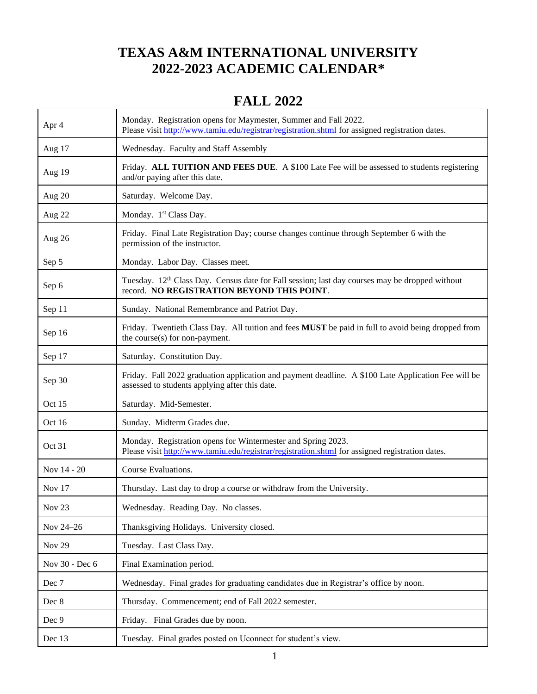#### **TEXAS A&M INTERNATIONAL UNIVERSITY 2022-2023 ACADEMIC CALENDAR\***

#### **FALL 2022**

| Apr 4          | Monday. Registration opens for Maymester, Summer and Fall 2022.<br>Please visit http://www.tamiu.edu/registrar/registration.shtml for assigned registration dates. |
|----------------|--------------------------------------------------------------------------------------------------------------------------------------------------------------------|
| Aug 17         | Wednesday. Faculty and Staff Assembly                                                                                                                              |
| Aug 19         | Friday. ALL TUITION AND FEES DUE. A \$100 Late Fee will be assessed to students registering<br>and/or paying after this date.                                      |
| Aug 20         | Saturday. Welcome Day.                                                                                                                                             |
| Aug 22         | Monday. 1 <sup>st</sup> Class Day.                                                                                                                                 |
| Aug 26         | Friday. Final Late Registration Day; course changes continue through September 6 with the<br>permission of the instructor.                                         |
| Sep 5          | Monday. Labor Day. Classes meet.                                                                                                                                   |
| Sep 6          | Tuesday. 12 <sup>th</sup> Class Day. Census date for Fall session; last day courses may be dropped without<br>record. NO REGISTRATION BEYOND THIS POINT.           |
| Sep 11         | Sunday. National Remembrance and Patriot Day.                                                                                                                      |
| Sep 16         | Friday. Twentieth Class Day. All tuition and fees <b>MUST</b> be paid in full to avoid being dropped from<br>the course(s) for non-payment.                        |
| Sep 17         | Saturday. Constitution Day.                                                                                                                                        |
| Sep 30         | Friday. Fall 2022 graduation application and payment deadline. A \$100 Late Application Fee will be<br>assessed to students applying after this date.              |
| Oct 15         | Saturday. Mid-Semester.                                                                                                                                            |
| Oct 16         | Sunday. Midterm Grades due.                                                                                                                                        |
| Oct 31         | Monday. Registration opens for Wintermester and Spring 2023.<br>Please visit http://www.tamiu.edu/registrar/registration.shtml for assigned registration dates.    |
| Nov 14 - 20    | Course Evaluations.                                                                                                                                                |
| Nov $17$       | Thursday. Last day to drop a course or withdraw from the University.                                                                                               |
| Nov $23$       | Wednesday. Reading Day. No classes.                                                                                                                                |
| Nov 24-26      | Thanksgiving Holidays. University closed.                                                                                                                          |
| <b>Nov 29</b>  | Tuesday. Last Class Day.                                                                                                                                           |
| Nov 30 - Dec 6 | Final Examination period.                                                                                                                                          |
| Dec 7          | Wednesday. Final grades for graduating candidates due in Registrar's office by noon.                                                                               |
| Dec 8          | Thursday. Commencement; end of Fall 2022 semester.                                                                                                                 |
| Dec 9          | Friday. Final Grades due by noon.                                                                                                                                  |
| Dec 13         | Tuesday. Final grades posted on Uconnect for student's view.                                                                                                       |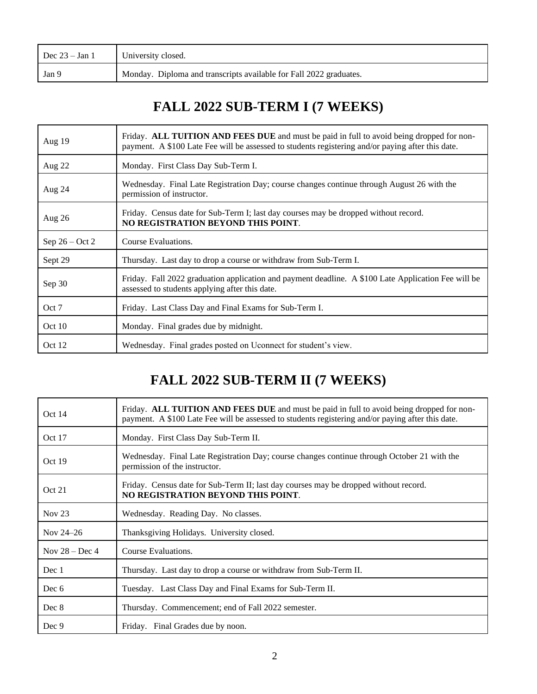| Dec $23 - Jan 1$ | University closed.                                                 |
|------------------|--------------------------------------------------------------------|
| Jan 9            | Monday. Diploma and transcripts available for Fall 2022 graduates. |

#### **FALL 2022 SUB-TERM I (7 WEEKS)**

| Aug $19$         | Friday. ALL TUITION AND FEES DUE and must be paid in full to avoid being dropped for non-<br>payment. A \$100 Late Fee will be assessed to students registering and/or paying after this date. |
|------------------|------------------------------------------------------------------------------------------------------------------------------------------------------------------------------------------------|
| Aug 22           | Monday. First Class Day Sub-Term I.                                                                                                                                                            |
| Aug 24           | Wednesday. Final Late Registration Day; course changes continue through August 26 with the<br>permission of instructor.                                                                        |
| Aug $26$         | Friday. Census date for Sub-Term I; last day courses may be dropped without record.<br>NO REGISTRATION BEYOND THIS POINT.                                                                      |
| Sep $26 - Oct 2$ | Course Evaluations.                                                                                                                                                                            |
| Sept 29          | Thursday. Last day to drop a course or withdraw from Sub-Term I.                                                                                                                               |
| Sep 30           | Friday. Fall 2022 graduation application and payment deadline. A \$100 Late Application Fee will be<br>assessed to students applying after this date.                                          |
| Oct 7            | Friday. Last Class Day and Final Exams for Sub-Term I.                                                                                                                                         |
| Oct $10$         | Monday. Final grades due by midnight.                                                                                                                                                          |
| Oct 12           | Wednesday. Final grades posted on Uconnect for student's view.                                                                                                                                 |

# **FALL 2022 SUB-TERM II (7 WEEKS)**

| Oct $14$          | Friday. ALL TUITION AND FEES DUE and must be paid in full to avoid being dropped for non-<br>payment. A \$100 Late Fee will be assessed to students registering and/or paying after this date. |
|-------------------|------------------------------------------------------------------------------------------------------------------------------------------------------------------------------------------------|
| Oct 17            | Monday. First Class Day Sub-Term II.                                                                                                                                                           |
| Oct 19            | Wednesday. Final Late Registration Day; course changes continue through October 21 with the<br>permission of the instructor.                                                                   |
| Oct 21            | Friday. Census date for Sub-Term II; last day courses may be dropped without record.<br>NO REGISTRATION BEYOND THIS POINT.                                                                     |
| Nov <sub>23</sub> | Wednesday. Reading Day. No classes.                                                                                                                                                            |
| Nov $24-26$       | Thanksgiving Holidays. University closed.                                                                                                                                                      |
| Nov $28 - Dec 4$  | Course Evaluations.                                                                                                                                                                            |
| Dec 1             | Thursday. Last day to drop a course or withdraw from Sub-Term II.                                                                                                                              |
| Dec 6             | Tuesday. Last Class Day and Final Exams for Sub-Term II.                                                                                                                                       |
| Dec 8             | Thursday. Commencement; end of Fall 2022 semester.                                                                                                                                             |
| Dec 9             | Friday. Final Grades due by noon.                                                                                                                                                              |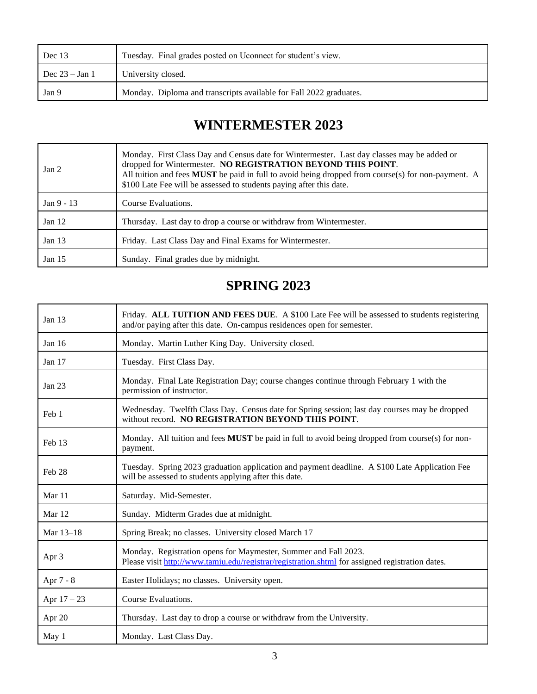| Dec $13$         | Tuesday. Final grades posted on Uconnect for student's view.       |
|------------------|--------------------------------------------------------------------|
| Dec $23 - Jan 1$ | University closed.                                                 |
| Jan 9            | Monday. Diploma and transcripts available for Fall 2022 graduates. |

### **WINTERMESTER 2023**

| Jan <sub>2</sub> | Monday. First Class Day and Census date for Wintermester. Last day classes may be added or<br>dropped for Wintermester. NO REGISTRATION BEYOND THIS POINT.<br>All tuition and fees <b>MUST</b> be paid in full to avoid being dropped from course(s) for non-payment. A<br>\$100 Late Fee will be assessed to students paying after this date. |
|------------------|------------------------------------------------------------------------------------------------------------------------------------------------------------------------------------------------------------------------------------------------------------------------------------------------------------------------------------------------|
| Jan 9 - 13       | Course Evaluations.                                                                                                                                                                                                                                                                                                                            |
| Jan $12$         | Thursday. Last day to drop a course or withdraw from Wintermester.                                                                                                                                                                                                                                                                             |
| Jan $13$         | Friday. Last Class Day and Final Exams for Wintermester.                                                                                                                                                                                                                                                                                       |
| Jan $15$         | Sunday. Final grades due by midnight.                                                                                                                                                                                                                                                                                                          |

### **SPRING 2023**

| Jan $13$          | Friday. ALL TUITION AND FEES DUE. A \$100 Late Fee will be assessed to students registering<br>and/or paying after this date. On-campus residences open for semester. |
|-------------------|-----------------------------------------------------------------------------------------------------------------------------------------------------------------------|
| Jan 16            | Monday. Martin Luther King Day. University closed.                                                                                                                    |
| Jan $17$          | Tuesday. First Class Day.                                                                                                                                             |
| Jan $23$          | Monday. Final Late Registration Day; course changes continue through February 1 with the<br>permission of instructor.                                                 |
| Feb 1             | Wednesday. Twelfth Class Day. Census date for Spring session; last day courses may be dropped<br>without record. NO REGISTRATION BEYOND THIS POINT.                   |
| Feb 13            | Monday. All tuition and fees MUST be paid in full to avoid being dropped from course(s) for non-<br>payment.                                                          |
| Feb <sub>28</sub> | Tuesday. Spring 2023 graduation application and payment deadline. A \$100 Late Application Fee<br>will be assessed to students applying after this date.              |
| Mar 11            | Saturday. Mid-Semester.                                                                                                                                               |
| Mar 12            | Sunday. Midterm Grades due at midnight.                                                                                                                               |
| Mar 13-18         | Spring Break; no classes. University closed March 17                                                                                                                  |
| Apr 3             | Monday. Registration opens for Maymester, Summer and Fall 2023.<br>Please visit http://www.tamiu.edu/registrar/registration.shtml for assigned registration dates.    |
| Apr 7 - 8         | Easter Holidays; no classes. University open.                                                                                                                         |
| Apr $17 - 23$     | Course Evaluations.                                                                                                                                                   |
| Apr 20            | Thursday. Last day to drop a course or withdraw from the University.                                                                                                  |
| May 1             | Monday. Last Class Day.                                                                                                                                               |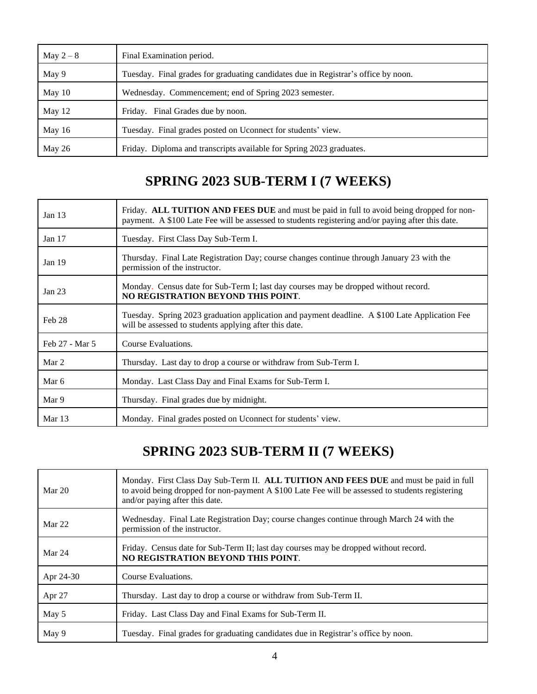| May $2-8$ | Final Examination period.                                                          |
|-----------|------------------------------------------------------------------------------------|
| May 9     | Tuesday. Final grades for graduating candidates due in Registrar's office by noon. |
| May 10    | Wednesday. Commencement; end of Spring 2023 semester.                              |
| May 12    | Friday. Final Grades due by noon.                                                  |
| May $16$  | Tuesday. Final grades posted on Uconnect for students' view.                       |
| May 26    | Friday. Diploma and transcripts available for Spring 2023 graduates.               |

## **SPRING 2023 SUB-TERM I (7 WEEKS)**

| Jan $13$          | Friday. ALL TUITION AND FEES DUE and must be paid in full to avoid being dropped for non-<br>payment. A \$100 Late Fee will be assessed to students registering and/or paying after this date. |
|-------------------|------------------------------------------------------------------------------------------------------------------------------------------------------------------------------------------------|
| Jan $17$          | Tuesday. First Class Day Sub-Term I.                                                                                                                                                           |
| Jan <sub>19</sub> | Thursday. Final Late Registration Day; course changes continue through January 23 with the<br>permission of the instructor.                                                                    |
| Jan $23$          | Monday. Census date for Sub-Term I; last day courses may be dropped without record.<br>NO REGISTRATION BEYOND THIS POINT.                                                                      |
| Feb 28            | Tuesday. Spring 2023 graduation application and payment deadline. A \$100 Late Application Fee<br>will be assessed to students applying after this date.                                       |
| Feb 27 - Mar 5    | Course Evaluations.                                                                                                                                                                            |
| Mar 2             | Thursday. Last day to drop a course or withdraw from Sub-Term I.                                                                                                                               |
| Mar 6             | Monday. Last Class Day and Final Exams for Sub-Term I.                                                                                                                                         |
| Mar 9             | Thursday. Final grades due by midnight.                                                                                                                                                        |
| Mar $13$          | Monday. Final grades posted on Uconnect for students' view.                                                                                                                                    |

### **SPRING 2023 SUB-TERM II (7 WEEKS)**

| Mar $20$  | Monday. First Class Day Sub-Term II. ALL TUITION AND FEES DUE and must be paid in full<br>to avoid being dropped for non-payment A \$100 Late Fee will be assessed to students registering<br>and/or paying after this date. |
|-----------|------------------------------------------------------------------------------------------------------------------------------------------------------------------------------------------------------------------------------|
| Mar 22    | Wednesday. Final Late Registration Day; course changes continue through March 24 with the<br>permission of the instructor.                                                                                                   |
| Mar 24    | Friday. Census date for Sub-Term II; last day courses may be dropped without record.<br>NO REGISTRATION BEYOND THIS POINT.                                                                                                   |
| Apr 24-30 | Course Evaluations.                                                                                                                                                                                                          |
| Apr 27    | Thursday. Last day to drop a course or withdraw from Sub-Term II.                                                                                                                                                            |
| May 5     | Friday. Last Class Day and Final Exams for Sub-Term II.                                                                                                                                                                      |
| May 9     | Tuesday. Final grades for graduating candidates due in Registrar's office by noon.                                                                                                                                           |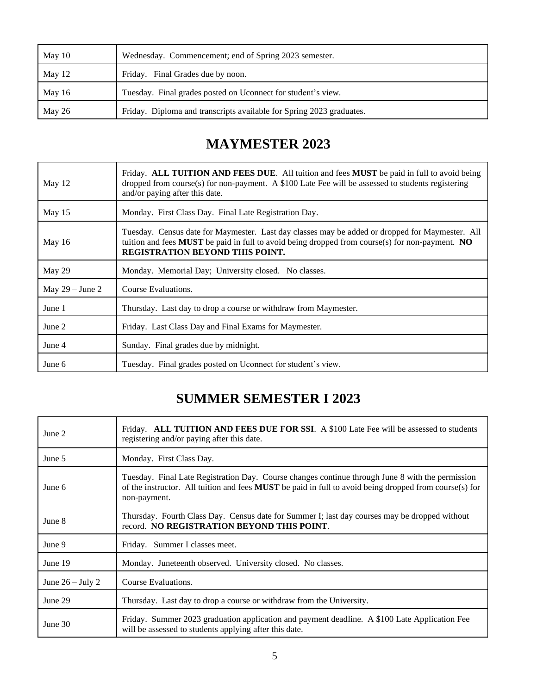| May $10$ | Wednesday. Commencement; end of Spring 2023 semester.                |
|----------|----------------------------------------------------------------------|
| May 12   | Friday. Final Grades due by noon.                                    |
| May 16   | Tuesday. Final grades posted on Uconnect for student's view.         |
| May 26   | Friday. Diploma and transcripts available for Spring 2023 graduates. |

## **MAYMESTER 2023**

| May 12            | Friday. ALL TUITION AND FEES DUE. All tuition and fees MUST be paid in full to avoid being<br>dropped from course(s) for non-payment. A \$100 Late Fee will be assessed to students registering<br>and/or paying after this date.            |
|-------------------|----------------------------------------------------------------------------------------------------------------------------------------------------------------------------------------------------------------------------------------------|
| May $15$          | Monday. First Class Day. Final Late Registration Day.                                                                                                                                                                                        |
| May $16$          | Tuesday. Census date for Maymester. Last day classes may be added or dropped for Maymester. All<br>tuition and fees MUST be paid in full to avoid being dropped from course(s) for non-payment. NO<br><b>REGISTRATION BEYOND THIS POINT.</b> |
| May 29            | Monday. Memorial Day; University closed. No classes.                                                                                                                                                                                         |
| May $29 -$ June 2 | Course Evaluations.                                                                                                                                                                                                                          |
| June 1            | Thursday. Last day to drop a course or withdraw from Maymester.                                                                                                                                                                              |
| June 2            | Friday. Last Class Day and Final Exams for Maymester.                                                                                                                                                                                        |
| June 4            | Sunday. Final grades due by midnight.                                                                                                                                                                                                        |
| June 6            | Tuesday. Final grades posted on Uconnect for student's view.                                                                                                                                                                                 |

# **SUMMER SEMESTER I 2023**

| June 2             | Friday. ALL TUITION AND FEES DUE FOR SSI. A \$100 Late Fee will be assessed to students<br>registering and/or paying after this date.                                                                                             |
|--------------------|-----------------------------------------------------------------------------------------------------------------------------------------------------------------------------------------------------------------------------------|
| June 5             | Monday. First Class Day.                                                                                                                                                                                                          |
| June 6             | Tuesday. Final Late Registration Day. Course changes continue through June 8 with the permission<br>of the instructor. All tuition and fees <b>MUST</b> be paid in full to avoid being dropped from course(s) for<br>non-payment. |
| June 8             | Thursday. Fourth Class Day. Census date for Summer I; last day courses may be dropped without<br>record. NO REGISTRATION BEYOND THIS POINT.                                                                                       |
| June 9             | Friday. Summer I classes meet.                                                                                                                                                                                                    |
| June 19            | Monday. Juneteenth observed. University closed. No classes.                                                                                                                                                                       |
| June $26 -$ July 2 | Course Evaluations.                                                                                                                                                                                                               |
| June 29            | Thursday. Last day to drop a course or withdraw from the University.                                                                                                                                                              |
| June 30            | Friday. Summer 2023 graduation application and payment deadline. A \$100 Late Application Fee<br>will be assessed to students applying after this date.                                                                           |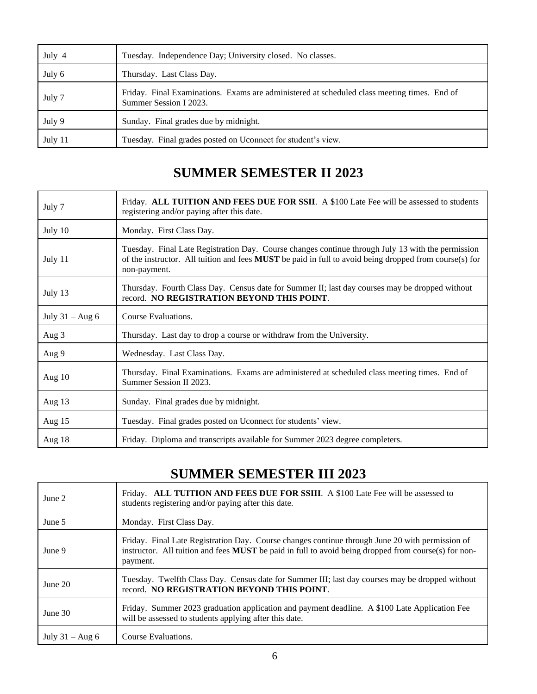| July 4  | Tuesday. Independence Day; University closed. No classes.                                                             |
|---------|-----------------------------------------------------------------------------------------------------------------------|
| July 6  | Thursday. Last Class Day.                                                                                             |
| July 7  | Friday. Final Examinations. Exams are administered at scheduled class meeting times. End of<br>Summer Session I 2023. |
| July 9  | Sunday. Final grades due by midnight.                                                                                 |
| July 11 | Tuesday. Final grades posted on Uconnect for student's view.                                                          |

### **SUMMER SEMESTER II 2023**

| July 7            | Friday. ALL TUITION AND FEES DUE FOR SSII. A \$100 Late Fee will be assessed to students<br>registering and/or paying after this date.                                                                                             |
|-------------------|------------------------------------------------------------------------------------------------------------------------------------------------------------------------------------------------------------------------------------|
| July 10           | Monday. First Class Day.                                                                                                                                                                                                           |
| July 11           | Tuesday. Final Late Registration Day. Course changes continue through July 13 with the permission<br>of the instructor. All tuition and fees <b>MUST</b> be paid in full to avoid being dropped from course(s) for<br>non-payment. |
| July 13           | Thursday. Fourth Class Day. Census date for Summer II; last day courses may be dropped without<br>record. NO REGISTRATION BEYOND THIS POINT.                                                                                       |
| July $31 - Aug 6$ | Course Evaluations.                                                                                                                                                                                                                |
| Aug 3             | Thursday. Last day to drop a course or withdraw from the University.                                                                                                                                                               |
| Aug 9             | Wednesday. Last Class Day.                                                                                                                                                                                                         |
| Aug $10$          | Thursday. Final Examinations. Exams are administered at scheduled class meeting times. End of<br>Summer Session II 2023.                                                                                                           |
| Aug $13$          | Sunday. Final grades due by midnight.                                                                                                                                                                                              |
| Aug $15$          | Tuesday. Final grades posted on Uconnect for students' view.                                                                                                                                                                       |
| Aug $18$          | Friday. Diploma and transcripts available for Summer 2023 degree completers.                                                                                                                                                       |

#### **SUMMER SEMESTER III 2023**

| June 2             | Friday. ALL TUITION AND FEES DUE FOR SSIII. A \$100 Late Fee will be assessed to<br>students registering and/or paying after this date.                                                                               |
|--------------------|-----------------------------------------------------------------------------------------------------------------------------------------------------------------------------------------------------------------------|
| June 5             | Monday. First Class Day.                                                                                                                                                                                              |
| June 9             | Friday. Final Late Registration Day. Course changes continue through June 20 with permission of<br>instructor. All tuition and fees $MUST$ be paid in full to avoid being dropped from course(s) for non-<br>payment. |
| June $20$          | Tuesday. Twelfth Class Day. Census date for Summer III; last day courses may be dropped without<br>record. NO REGISTRATION BEYOND THIS POINT.                                                                         |
| June $30$          | Friday. Summer 2023 graduation application and payment deadline. A \$100 Late Application Fee<br>will be assessed to students applying after this date.                                                               |
| July $31 - Aug\ 6$ | Course Evaluations.                                                                                                                                                                                                   |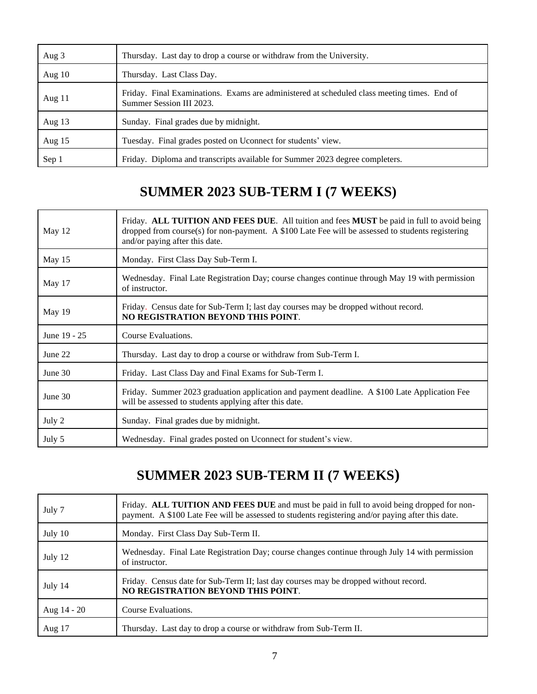| Aug 3    | Thursday. Last day to drop a course or withdraw from the University.                                                    |
|----------|-------------------------------------------------------------------------------------------------------------------------|
| Aug $10$ | Thursday. Last Class Day.                                                                                               |
| Aug $11$ | Friday. Final Examinations. Exams are administered at scheduled class meeting times. End of<br>Summer Session III 2023. |
| Aug $13$ | Sunday. Final grades due by midnight.                                                                                   |
| Aug $15$ | Tuesday. Final grades posted on Uconnect for students' view.                                                            |
| Sep 1    | Friday. Diploma and transcripts available for Summer 2023 degree completers.                                            |

#### **SUMMER 2023 SUB-TERM I (7 WEEKS)**

| May 12       | Friday. ALL TUITION AND FEES DUE. All tuition and fees MUST be paid in full to avoid being<br>dropped from course(s) for non-payment. A \$100 Late Fee will be assessed to students registering<br>and/or paying after this date. |
|--------------|-----------------------------------------------------------------------------------------------------------------------------------------------------------------------------------------------------------------------------------|
| May 15       | Monday. First Class Day Sub-Term I.                                                                                                                                                                                               |
| May 17       | Wednesday. Final Late Registration Day; course changes continue through May 19 with permission<br>of instructor.                                                                                                                  |
| May 19       | Friday. Census date for Sub-Term I; last day courses may be dropped without record.<br>NO REGISTRATION BEYOND THIS POINT.                                                                                                         |
| June 19 - 25 | Course Evaluations.                                                                                                                                                                                                               |
| June 22      | Thursday. Last day to drop a course or withdraw from Sub-Term I.                                                                                                                                                                  |
| June $30$    | Friday. Last Class Day and Final Exams for Sub-Term I.                                                                                                                                                                            |
| June $30$    | Friday. Summer 2023 graduation application and payment deadline. A \$100 Late Application Fee<br>will be assessed to students applying after this date.                                                                           |
| July 2       | Sunday. Final grades due by midnight.                                                                                                                                                                                             |
| July 5       | Wednesday. Final grades posted on Uconnect for student's view.                                                                                                                                                                    |

# **SUMMER 2023 SUB-TERM II (7 WEEKS)**

| July 7        | Friday. ALL TUITION AND FEES DUE and must be paid in full to avoid being dropped for non-<br>payment. A \$100 Late Fee will be assessed to students registering and/or paying after this date. |
|---------------|------------------------------------------------------------------------------------------------------------------------------------------------------------------------------------------------|
| July 10       | Monday. First Class Day Sub-Term II.                                                                                                                                                           |
| July 12       | Wednesday. Final Late Registration Day; course changes continue through July 14 with permission<br>of instructor.                                                                              |
| July 14       | Friday. Census date for Sub-Term II; last day courses may be dropped without record.<br>NO REGISTRATION BEYOND THIS POINT.                                                                     |
| Aug $14 - 20$ | Course Evaluations.                                                                                                                                                                            |
| Aug 17        | Thursday. Last day to drop a course or withdraw from Sub-Term II.                                                                                                                              |